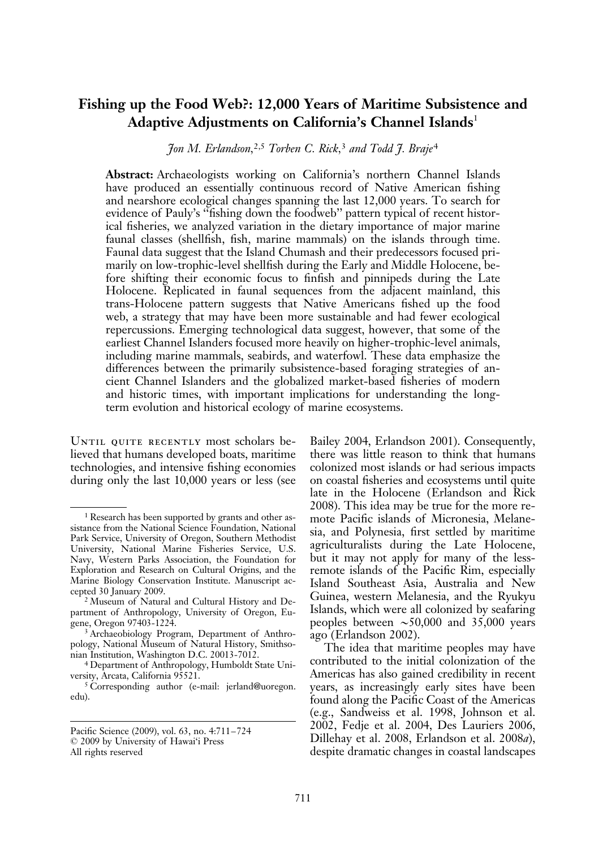# Fishing up the Food Web?: 12,000 Years of Maritime Subsistence and Adaptive Adjustments on California's Channel Islands<sup>1</sup>

Jon M. Erlandson,2,5 Torben C. Rick,<sup>3</sup> and Todd J. Braje<sup>4</sup>

Abstract: Archaeologists working on California's northern Channel Islands have produced an essentially continuous record of Native American fishing and nearshore ecological changes spanning the last 12,000 years. To search for evidence of Pauly's ''fishing down the foodweb'' pattern typical of recent historical fisheries, we analyzed variation in the dietary importance of major marine faunal classes (shellfish, fish, marine mammals) on the islands through time. Faunal data suggest that the Island Chumash and their predecessors focused primarily on low-trophic-level shellfish during the Early and Middle Holocene, before shifting their economic focus to finfish and pinnipeds during the Late Holocene. Replicated in faunal sequences from the adjacent mainland, this trans-Holocene pattern suggests that Native Americans fished up the food web, a strategy that may have been more sustainable and had fewer ecological repercussions. Emerging technological data suggest, however, that some of the earliest Channel Islanders focused more heavily on higher-trophic-level animals, including marine mammals, seabirds, and waterfowl. These data emphasize the differences between the primarily subsistence-based foraging strategies of ancient Channel Islanders and the globalized market-based fisheries of modern and historic times, with important implications for understanding the longterm evolution and historical ecology of marine ecosystems.

UNTIL QUITE RECENTLY most scholars believed that humans developed boats, maritime technologies, and intensive fishing economies during only the last 10,000 years or less (see

Bailey 2004, Erlandson 2001). Consequently, there was little reason to think that humans colonized most islands or had serious impacts on coastal fisheries and ecosystems until quite late in the Holocene (Erlandson and Rick 2008). This idea may be true for the more remote Pacific islands of Micronesia, Melanesia, and Polynesia, first settled by maritime agriculturalists during the Late Holocene, but it may not apply for many of the lessremote islands of the Pacific Rim, especially Island Southeast Asia, Australia and New Guinea, western Melanesia, and the Ryukyu Islands, which were all colonized by seafaring peoples between  $\sim 50,000$  and 35,000 years ago (Erlandson 2002).

The idea that maritime peoples may have contributed to the initial colonization of the Americas has also gained credibility in recent years, as increasingly early sites have been found along the Pacific Coast of the Americas (e.g., Sandweiss et al. 1998, Johnson et al. 2002, Fedje et al. 2004, Des Lauriers 2006, Dillehay et al. 2008, Erlandson et al. 2008a), despite dramatic changes in coastal landscapes

<sup>1</sup> Research has been supported by grants and other assistance from the National Science Foundation, National Park Service, University of Oregon, Southern Methodist University, National Marine Fisheries Service, U.S. Navy, Western Parks Association, the Foundation for Exploration and Research on Cultural Origins, and the Marine Biology Conservation Institute. Manuscript accepted 30 January 2009.

<sup>2</sup> Museum of Natural and Cultural History and Department of Anthropology, University of Oregon, Eugene, Oregon 97403-1224.

<sup>3</sup> Archaeobiology Program, Department of Anthropology, National Museum of Natural History, Smithsonian Institution, Washington D.C. 20013-7012.

<sup>4</sup> Department of Anthropology, Humboldt State University, Arcata, California 95521.

<sup>5</sup> Corresponding author (e-mail: jerland@uoregon. edu).

Pacific Science (2009), vol. 63, no. 4:711–724 : 2009 by University of Hawai'i Press All rights reserved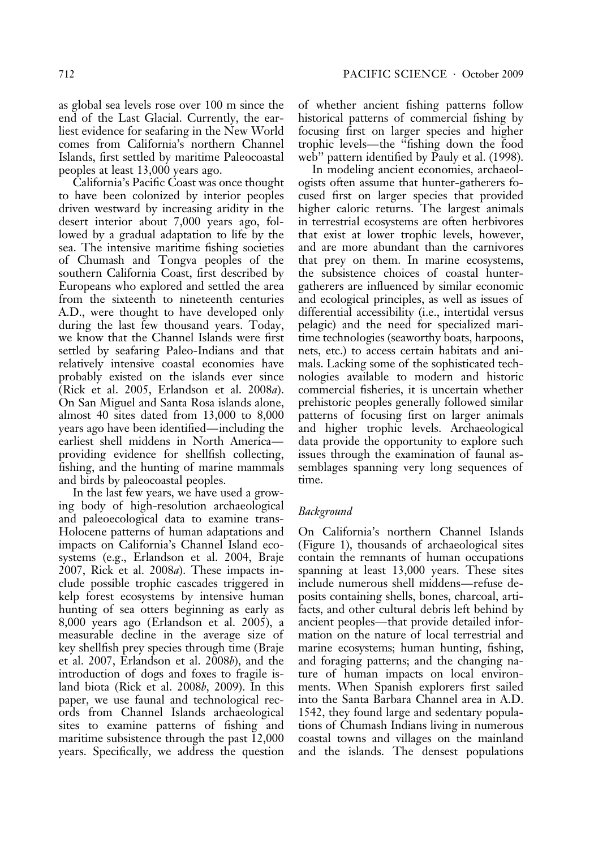as global sea levels rose over 100 m since the end of the Last Glacial. Currently, the earliest evidence for seafaring in the New World comes from California's northern Channel Islands, first settled by maritime Paleocoastal peoples at least 13,000 years ago.

California's Pacific Coast was once thought to have been colonized by interior peoples driven westward by increasing aridity in the desert interior about 7,000 years ago, followed by a gradual adaptation to life by the sea. The intensive maritime fishing societies of Chumash and Tongva peoples of the southern California Coast, first described by Europeans who explored and settled the area from the sixteenth to nineteenth centuries A.D., were thought to have developed only during the last few thousand years. Today, we know that the Channel Islands were first settled by seafaring Paleo-Indians and that relatively intensive coastal economies have probably existed on the islands ever since (Rick et al. 2005, Erlandson et al. 2008a). On San Miguel and Santa Rosa islands alone, almost 40 sites dated from 13,000 to 8,000 years ago have been identified—including the earliest shell middens in North America providing evidence for shellfish collecting, fishing, and the hunting of marine mammals and birds by paleocoastal peoples.

In the last few years, we have used a growing body of high-resolution archaeological and paleoecological data to examine trans-Holocene patterns of human adaptations and impacts on California's Channel Island ecosystems (e.g., Erlandson et al. 2004, Braje 2007, Rick et al. 2008a). These impacts include possible trophic cascades triggered in kelp forest ecosystems by intensive human hunting of sea otters beginning as early as 8,000 years ago (Erlandson et al. 2005), a measurable decline in the average size of key shellfish prey species through time (Braje et al. 2007, Erlandson et al. 2008b), and the introduction of dogs and foxes to fragile island biota (Rick et al. 2008b, 2009). In this paper, we use faunal and technological records from Channel Islands archaeological sites to examine patterns of fishing and maritime subsistence through the past 12,000 years. Specifically, we address the question

of whether ancient fishing patterns follow historical patterns of commercial fishing by focusing first on larger species and higher trophic levels—the ''fishing down the food web'' pattern identified by Pauly et al. (1998).

In modeling ancient economies, archaeologists often assume that hunter-gatherers focused first on larger species that provided higher caloric returns. The largest animals in terrestrial ecosystems are often herbivores that exist at lower trophic levels, however, and are more abundant than the carnivores that prey on them. In marine ecosystems, the subsistence choices of coastal huntergatherers are influenced by similar economic and ecological principles, as well as issues of differential accessibility (i.e., intertidal versus pelagic) and the need for specialized maritime technologies (seaworthy boats, harpoons, nets, etc.) to access certain habitats and animals. Lacking some of the sophisticated technologies available to modern and historic commercial fisheries, it is uncertain whether prehistoric peoples generally followed similar patterns of focusing first on larger animals and higher trophic levels. Archaeological data provide the opportunity to explore such issues through the examination of faunal assemblages spanning very long sequences of time.

### Background

On California's northern Channel Islands (Figure 1), thousands of archaeological sites contain the remnants of human occupations spanning at least 13,000 years. These sites include numerous shell middens—refuse deposits containing shells, bones, charcoal, artifacts, and other cultural debris left behind by ancient peoples—that provide detailed information on the nature of local terrestrial and marine ecosystems; human hunting, fishing, and foraging patterns; and the changing nature of human impacts on local environments. When Spanish explorers first sailed into the Santa Barbara Channel area in A.D. 1542, they found large and sedentary populations of Chumash Indians living in numerous coastal towns and villages on the mainland and the islands. The densest populations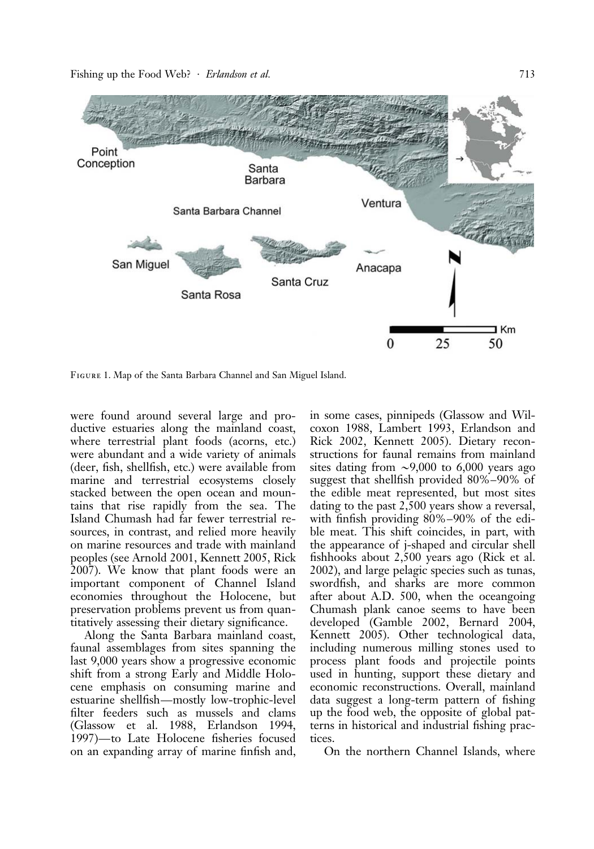Fishing up the Food Web? · *Erlandson et al.* 713



Figure 1. Map of the Santa Barbara Channel and San Miguel Island.

were found around several large and productive estuaries along the mainland coast, where terrestrial plant foods (acorns, etc.) were abundant and a wide variety of animals (deer, fish, shellfish, etc.) were available from marine and terrestrial ecosystems closely stacked between the open ocean and mountains that rise rapidly from the sea. The Island Chumash had far fewer terrestrial resources, in contrast, and relied more heavily on marine resources and trade with mainland peoples (see Arnold 2001, Kennett 2005, Rick 2007). We know that plant foods were an important component of Channel Island economies throughout the Holocene, but preservation problems prevent us from quantitatively assessing their dietary significance.

Along the Santa Barbara mainland coast, faunal assemblages from sites spanning the last 9,000 years show a progressive economic shift from a strong Early and Middle Holocene emphasis on consuming marine and estuarine shellfish—mostly low-trophic-level filter feeders such as mussels and clams (Glassow et al. 1988, Erlandson 1994, 1997)—to Late Holocene fisheries focused on an expanding array of marine finfish and,

in some cases, pinnipeds (Glassow and Wilcoxon 1988, Lambert 1993, Erlandson and Rick 2002, Kennett 2005). Dietary reconstructions for faunal remains from mainland sites dating from  $\sim 9,000$  to 6,000 years ago suggest that shellfish provided 80%–90% of the edible meat represented, but most sites dating to the past 2,500 years show a reversal, with finfish providing 80%–90% of the edible meat. This shift coincides, in part, with the appearance of j-shaped and circular shell fishhooks about 2,500 years ago (Rick et al. 2002), and large pelagic species such as tunas, swordfish, and sharks are more common after about A.D. 500, when the oceangoing Chumash plank canoe seems to have been developed (Gamble 2002, Bernard 2004, Kennett 2005). Other technological data, including numerous milling stones used to process plant foods and projectile points used in hunting, support these dietary and economic reconstructions. Overall, mainland data suggest a long-term pattern of fishing up the food web, the opposite of global patterns in historical and industrial fishing practices.

On the northern Channel Islands, where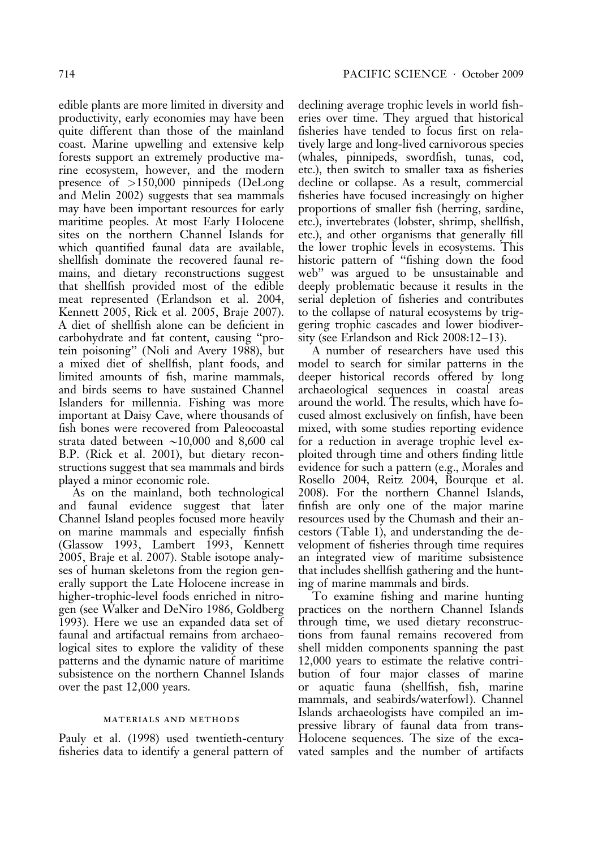edible plants are more limited in diversity and productivity, early economies may have been quite different than those of the mainland coast. Marine upwelling and extensive kelp forests support an extremely productive marine ecosystem, however, and the modern presence of >150,000 pinnipeds (DeLong and Melin 2002) suggests that sea mammals may have been important resources for early maritime peoples. At most Early Holocene sites on the northern Channel Islands for which quantified faunal data are available, shellfish dominate the recovered faunal remains, and dietary reconstructions suggest that shellfish provided most of the edible meat represented (Erlandson et al. 2004, Kennett 2005, Rick et al. 2005, Braje 2007). A diet of shellfish alone can be deficient in carbohydrate and fat content, causing ''protein poisoning'' (Noli and Avery 1988), but a mixed diet of shellfish, plant foods, and limited amounts of fish, marine mammals, and birds seems to have sustained Channel Islanders for millennia. Fishing was more important at Daisy Cave, where thousands of fish bones were recovered from Paleocoastal strata dated between  $\sim$ 10,000 and 8,600 cal B.P. (Rick et al. 2001), but dietary reconstructions suggest that sea mammals and birds played a minor economic role.

As on the mainland, both technological and faunal evidence suggest that later Channel Island peoples focused more heavily on marine mammals and especially finfish (Glassow 1993, Lambert 1993, Kennett 2005, Braje et al. 2007). Stable isotope analyses of human skeletons from the region generally support the Late Holocene increase in higher-trophic-level foods enriched in nitrogen (see Walker and DeNiro 1986, Goldberg 1993). Here we use an expanded data set of faunal and artifactual remains from archaeological sites to explore the validity of these patterns and the dynamic nature of maritime subsistence on the northern Channel Islands over the past 12,000 years.

#### materials and methods

Pauly et al. (1998) used twentieth-century fisheries data to identify a general pattern of declining average trophic levels in world fisheries over time. They argued that historical fisheries have tended to focus first on relatively large and long-lived carnivorous species (whales, pinnipeds, swordfish, tunas, cod, etc.), then switch to smaller taxa as fisheries decline or collapse. As a result, commercial fisheries have focused increasingly on higher proportions of smaller fish (herring, sardine, etc.), invertebrates (lobster, shrimp, shellfish, etc.), and other organisms that generally fill the lower trophic levels in ecosystems. This historic pattern of ''fishing down the food web'' was argued to be unsustainable and deeply problematic because it results in the serial depletion of fisheries and contributes to the collapse of natural ecosystems by triggering trophic cascades and lower biodiversity (see Erlandson and Rick 2008:12–13).

A number of researchers have used this model to search for similar patterns in the deeper historical records offered by long archaeological sequences in coastal areas around the world. The results, which have focused almost exclusively on finfish, have been mixed, with some studies reporting evidence for a reduction in average trophic level exploited through time and others finding little evidence for such a pattern (e.g., Morales and Rosello 2004, Reitz 2004, Bourque et al. 2008). For the northern Channel Islands, finfish are only one of the major marine resources used by the Chumash and their ancestors (Table 1), and understanding the development of fisheries through time requires an integrated view of maritime subsistence that includes shellfish gathering and the hunting of marine mammals and birds.

To examine fishing and marine hunting practices on the northern Channel Islands through time, we used dietary reconstructions from faunal remains recovered from shell midden components spanning the past 12,000 years to estimate the relative contribution of four major classes of marine or aquatic fauna (shellfish, fish, marine mammals, and seabirds/waterfowl). Channel Islands archaeologists have compiled an impressive library of faunal data from trans-Holocene sequences. The size of the excavated samples and the number of artifacts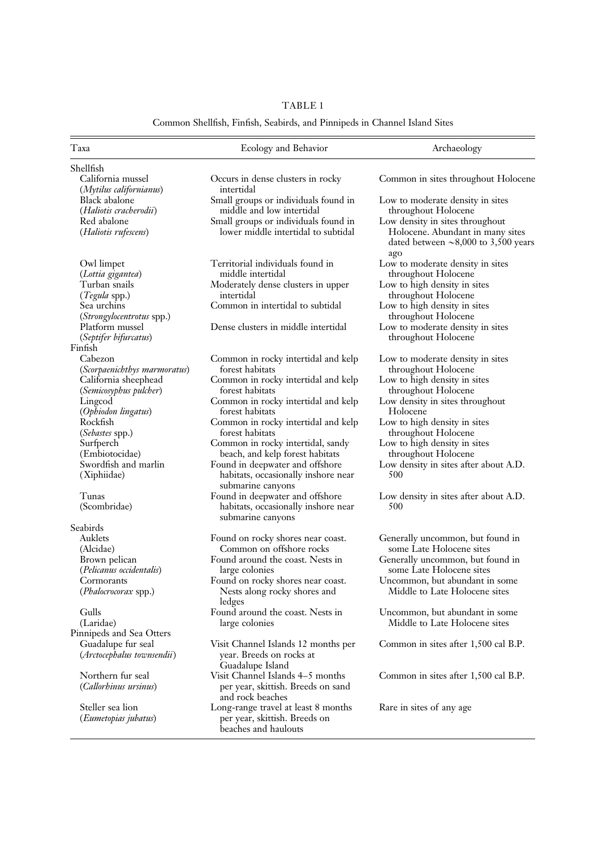## TABLE 1

## Common Shellfish, Finfish, Seabirds, and Pinnipeds in Channel Island Sites

| Taxa                                      | Ecology and Behavior                                     | Archaeology                                                                          |
|-------------------------------------------|----------------------------------------------------------|--------------------------------------------------------------------------------------|
| Shellfish                                 |                                                          |                                                                                      |
| California mussel                         | Occurs in dense clusters in rocky                        | Common in sites throughout Holocene                                                  |
| (Mytilus californianus)                   | intertidal                                               |                                                                                      |
| <b>Black</b> abalone                      | Small groups or individuals found in                     | Low to moderate density in sites                                                     |
| (Haliotis cracherodii)                    | middle and low intertidal                                | throughout Holocene                                                                  |
| Red abalone                               | Small groups or individuals found in                     | Low density in sites throughout                                                      |
| (Haliotis rufescens)                      | lower middle intertidal to subtidal                      | Holocene. Abundant in many sites<br>dated between $\sim$ 8,000 to 3,500 years<br>ago |
| Owl limpet<br>(Lottia gigantea)           | Territorial individuals found in<br>middle intertidal    | Low to moderate density in sites<br>throughout Holocene                              |
| Turban snails                             | Moderately dense clusters in upper                       | Low to high density in sites                                                         |
| (Tegula spp.)                             | intertidal                                               | throughout Holocene                                                                  |
| Sea urchins                               | Common in intertidal to subtidal                         | Low to high density in sites                                                         |
| ( <i>Strongylocentrotus</i> spp.)         |                                                          | throughout Holocene                                                                  |
| Platform mussel<br>(Septifer bifurcatus)  | Dense clusters in middle intertidal                      | Low to moderate density in sites<br>throughout Holocene                              |
| Finfish                                   |                                                          |                                                                                      |
| Cabezon                                   | Common in rocky intertidal and kelp                      | Low to moderate density in sites                                                     |
| (Scorpaenichthys marmoratus)              | forest habitats                                          | throughout Holocene                                                                  |
| California sheephead                      | Common in rocky intertidal and kelp<br>forest habitats   | Low to high density in sites                                                         |
| (Semicosyphus pulcher)<br>Lingcod         | Common in rocky intertidal and kelp                      | throughout Holocene<br>Low density in sites throughout                               |
| (Ophiodon lingatus)                       | forest habitats                                          | Holocene                                                                             |
| Rockfish                                  | Common in rocky intertidal and kelp                      | Low to high density in sites                                                         |
| (Sebastes spp.)                           | forest habitats                                          | throughout Holocene                                                                  |
| Surfperch                                 | Common in rocky intertidal, sandy                        | Low to high density in sites                                                         |
| (Embiotocidae)                            | beach, and kelp forest habitats                          | throughout Holocene                                                                  |
| Swordfish and marlin                      | Found in deepwater and offshore                          | Low density in sites after about A.D.                                                |
| (Xiphiidae)                               | habitats, occasionally inshore near<br>submarine canyons | 500                                                                                  |
| Tunas                                     | Found in deepwater and offshore                          | Low density in sites after about A.D.                                                |
| (Scombridae)                              | habitats, occasionally inshore near<br>submarine canyons | 500                                                                                  |
| Seabirds                                  |                                                          |                                                                                      |
| Auklets                                   | Found on rocky shores near coast.                        | Generally uncommon, but found in                                                     |
| (Alcidae)                                 | Common on offshore rocks                                 | some Late Holocene sites                                                             |
| Brown pelican<br>(Pelicanus occidentalis) | Found around the coast. Nests in<br>large colonies       | Generally uncommon, but found in<br>some Late Holocene sites                         |
| Cormorants                                | Found on rocky shores near coast.                        | Uncommon, but abundant in some                                                       |
| (Phalocrocorax spp.)                      | Nests along rocky shores and<br>ledges                   | Middle to Late Holocene sites                                                        |
| Gulls                                     | Found around the coast. Nests in                         | Uncommon, but abundant in some                                                       |
| (Laridae)                                 | large colonies                                           | Middle to Late Holocene sites                                                        |
| Pinnipeds and Sea Otters                  |                                                          |                                                                                      |
| Guadalupe fur seal                        | Visit Channel Islands 12 months per                      | Common in sites after 1,500 cal B.P.                                                 |
| (Arctocephalus townsendii)                | year. Breeds on rocks at<br>Guadalupe Island             |                                                                                      |
| Northern fur seal                         | Visit Channel Islands 4-5 months                         | Common in sites after 1,500 cal B.P.                                                 |
| <i>(Callorbinus ursinus)</i>              | per year, skittish. Breeds on sand<br>and rock beaches   |                                                                                      |
| Steller sea lion                          | Long-range travel at least 8 months                      | Rare in sites of any age                                                             |
| (Eumetopias jubatus)                      | per year, skittish. Breeds on<br>beaches and haulouts    |                                                                                      |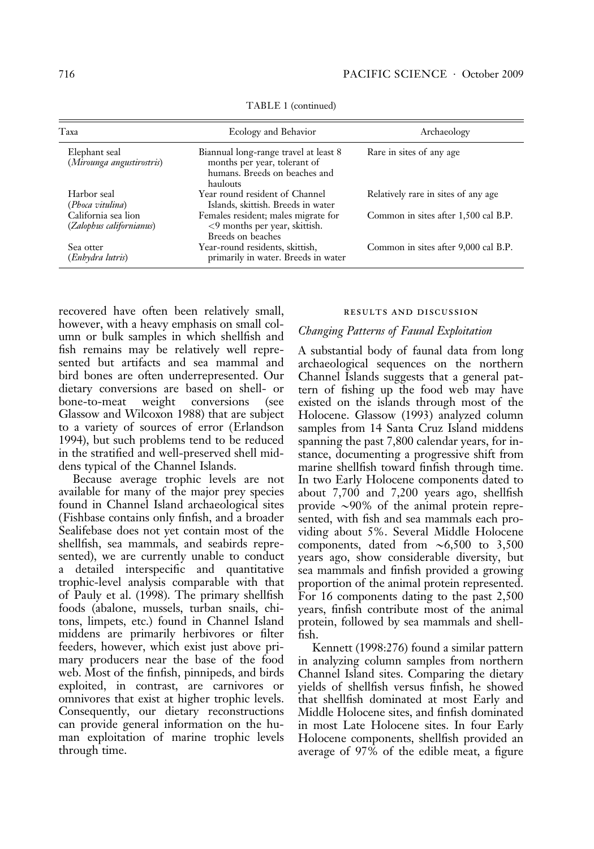| Taxa                                            | Ecology and Behavior                                                                                               | Archaeology                          |  |  |
|-------------------------------------------------|--------------------------------------------------------------------------------------------------------------------|--------------------------------------|--|--|
| Elephant seal<br>(Mirounga angustirostris)      | Biannual long-range travel at least 8<br>months per year, tolerant of<br>humans. Breeds on beaches and<br>haulouts | Rare in sites of any age             |  |  |
| Harbor seal<br>(Phoca vitulina)                 | Year round resident of Channel<br>Islands, skittish. Breeds in water                                               | Relatively rare in sites of any age  |  |  |
| California sea lion<br>(Zalophus californianus) | Females resident; males migrate for<br>$<9$ months per year, skittish.<br>Breeds on beaches                        | Common in sites after 1,500 cal B.P. |  |  |
| Sea otter<br>(Enhydra lutris)                   | Year-round residents, skittish,<br>primarily in water. Breeds in water                                             | Common in sites after 9,000 cal B.P. |  |  |

TABLE 1 (continued)

recovered have often been relatively small, however, with a heavy emphasis on small column or bulk samples in which shellfish and fish remains may be relatively well represented but artifacts and sea mammal and bird bones are often underrepresented. Our dietary conversions are based on shell- or bone-to-meat weight conversions (see Glassow and Wilcoxon 1988) that are subject to a variety of sources of error (Erlandson 1994), but such problems tend to be reduced in the stratified and well-preserved shell middens typical of the Channel Islands.

Because average trophic levels are not available for many of the major prey species found in Channel Island archaeological sites (Fishbase contains only finfish, and a broader Sealifebase does not yet contain most of the shellfish, sea mammals, and seabirds represented), we are currently unable to conduct a detailed interspecific and quantitative trophic-level analysis comparable with that of Pauly et al. (1998). The primary shellfish foods (abalone, mussels, turban snails, chitons, limpets, etc.) found in Channel Island middens are primarily herbivores or filter feeders, however, which exist just above primary producers near the base of the food web. Most of the finfish, pinnipeds, and birds exploited, in contrast, are carnivores or omnivores that exist at higher trophic levels. Consequently, our dietary reconstructions can provide general information on the human exploitation of marine trophic levels through time.

#### results and discussion

#### Changing Patterns of Faunal Exploitation

A substantial body of faunal data from long archaeological sequences on the northern Channel Islands suggests that a general pattern of fishing up the food web may have existed on the islands through most of the Holocene. Glassow (1993) analyzed column samples from 14 Santa Cruz Island middens spanning the past 7,800 calendar years, for instance, documenting a progressive shift from marine shellfish toward finfish through time. In two Early Holocene components dated to about 7,700 and 7,200 years ago, shellfish provide  $\sim$ 90% of the animal protein represented, with fish and sea mammals each providing about 5%. Several Middle Holocene components, dated from  $\sim 6,500$  to 3,500 years ago, show considerable diversity, but sea mammals and finfish provided a growing proportion of the animal protein represented. For 16 components dating to the past 2,500 years, finfish contribute most of the animal protein, followed by sea mammals and shellfish.

Kennett (1998:276) found a similar pattern in analyzing column samples from northern Channel Island sites. Comparing the dietary yields of shellfish versus finfish, he showed that shellfish dominated at most Early and Middle Holocene sites, and finfish dominated in most Late Holocene sites. In four Early Holocene components, shellfish provided an average of 97% of the edible meat, a figure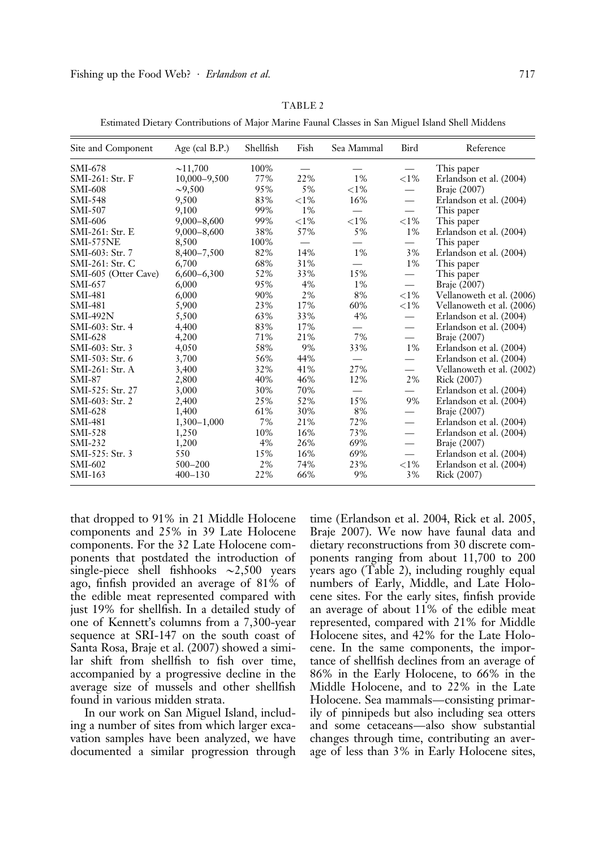| ., |  |
|----|--|
|    |  |

Estimated Dietary Contributions of Major Marine Faunal Classes in San Miguel Island Shell Middens

| Site and Component   | Age (cal $B.P.$ ) | Shellfish | Fish     | Sea Mammal | Bird                          | Reference                 |
|----------------------|-------------------|-----------|----------|------------|-------------------------------|---------------------------|
| SMI-678              | ~11,700           | 100%      |          |            | $\overbrace{\phantom{12333}}$ | This paper                |
| SMI-261: Str. F      | 10,000-9,500      | 77%       | 22%      | $1\%$      | ${<}1\%$                      | Erlandson et al. (2004)   |
| SMI-608              | $\sim 9,500$      | 95%       | 5%       | ${<}1\%$   |                               | Braje (2007)              |
| $SMI-548$            | 9,500             | 83%       | ${<}1\%$ | 16%        | $\overline{\phantom{0}}$      | Erlandson et al. (2004)   |
| $SMI-507$            | 9,100             | 99%       | $1\%$    |            | $\overline{\phantom{0}}$      | This paper                |
| SMI-606              | $9,000 - 8,600$   | 99%       | ${<}1\%$ | ${<}1\%$   | ${<}1\%$                      | This paper                |
| $SMI-261:$ Str. E    | $9,000 - 8,600$   | 38%       | 57%      | 5%         | $1\%$                         | Erlandson et al. (2004)   |
| SMI-575NE            | 8,500             | 100%      |          |            |                               | This paper                |
| SMI-603: Str. 7      | 8,400-7,500       | 82%       | 14%      | $1\%$      | 3%                            | Erlandson et al. (2004)   |
| SMI-261: Str. C      | 6,700             | 68%       | 31%      |            | $1\%$                         | This paper                |
| SMI-605 (Otter Cave) | $6,600 - 6,300$   | 52%       | 33%      | 15%        | $\overline{\phantom{0}}$      | This paper                |
| $SMI-657$            | 6,000             | 95%       | 4%       | $1\%$      | $\overline{\phantom{0}}$      | Braje (2007)              |
| $SMI-481$            | 6,000             | 90%       | 2%       | 8%         | ${<}1\%$                      | Vellanoweth et al. (2006) |
| $SMI-481$            | 5,900             | 23%       | 17%      | 60%        | ${<}1\%$                      | Vellanoweth et al. (2006) |
| <b>SMI-492N</b>      | 5,500             | 63%       | 33%      | 4%         | $\overline{\phantom{0}}$      | Erlandson et al. (2004)   |
| SMI-603: Str. 4      | 4,400             | 83%       | 17%      |            |                               | Erlandson et al. (2004)   |
| SMI-628              | 4,200             | 71%       | 21%      | 7%         |                               | Braje (2007)              |
| SMI-603: Str. 3      | 4,050             | 58%       | 9%       | 33%        | $1\%$                         | Erlandson et al. (2004)   |
| SMI-503: Str. 6      | 3,700             | 56%       | 44%      |            | $\overline{\phantom{0}}$      | Erlandson et al. (2004)   |
| $SMI-261:$ Str. A    | 3,400             | 32%       | 41%      | 27%        |                               | Vellanoweth et al. (2002) |
| $SMI-87$             | 2,800             | 40%       | 46%      | 12%        | 2%                            | Rick (2007)               |
| SMI-525: Str. 27     | 3,000             | 30%       | 70%      |            | $\overline{\phantom{0}}$      | Erlandson et al. (2004)   |
| SMI-603: Str. 2      | 2,400             | 25%       | 52%      | 15%        | 9%                            | Erlandson et al. (2004)   |
| $SMI-628$            | 1,400             | 61%       | 30%      | 8%         | —                             | Braje (2007)              |
| SMI-481              | $1,300 - 1,000$   | 7%        | 21%      | 72%        |                               | Erlandson et al. (2004)   |
| $SMI-528$            | 1,250             | 10%       | 16%      | 73%        |                               | Erlandson et al. (2004)   |
| $SMI-232$            | 1,200             | 4%        | 26%      | 69%        | $\qquad \qquad$               | Braje (2007)              |
| SMI-525: Str. 3      | 550               | 15%       | 16%      | 69%        |                               | Erlandson et al. (2004)   |
| SMI-602              | $500 - 200$       | 2%        | 74%      | 23%        | ${<}1\%$                      | Erlandson et al. (2004)   |
| $SMI-163$            | $400 - 130$       | 22%       | 66%      | 9%         | 3%                            | Rick (2007)               |

that dropped to 91% in 21 Middle Holocene components and 25% in 39 Late Holocene components. For the 32 Late Holocene components that postdated the introduction of single-piece shell fishhooks  $\sim$ 2,500 years ago, finfish provided an average of 81% of the edible meat represented compared with just 19% for shellfish. In a detailed study of one of Kennett's columns from a 7,300-year sequence at SRI-147 on the south coast of Santa Rosa, Braje et al. (2007) showed a similar shift from shellfish to fish over time, accompanied by a progressive decline in the average size of mussels and other shellfish found in various midden strata.

In our work on San Miguel Island, including a number of sites from which larger excavation samples have been analyzed, we have documented a similar progression through

time (Erlandson et al. 2004, Rick et al. 2005, Braje 2007). We now have faunal data and dietary reconstructions from 30 discrete components ranging from about 11,700 to 200 years ago (Table 2), including roughly equal numbers of Early, Middle, and Late Holocene sites. For the early sites, finfish provide an average of about 11% of the edible meat represented, compared with 21% for Middle Holocene sites, and 42% for the Late Holocene. In the same components, the importance of shellfish declines from an average of 86% in the Early Holocene, to 66% in the Middle Holocene, and to 22% in the Late Holocene. Sea mammals—consisting primarily of pinnipeds but also including sea otters and some cetaceans—also show substantial changes through time, contributing an average of less than 3% in Early Holocene sites,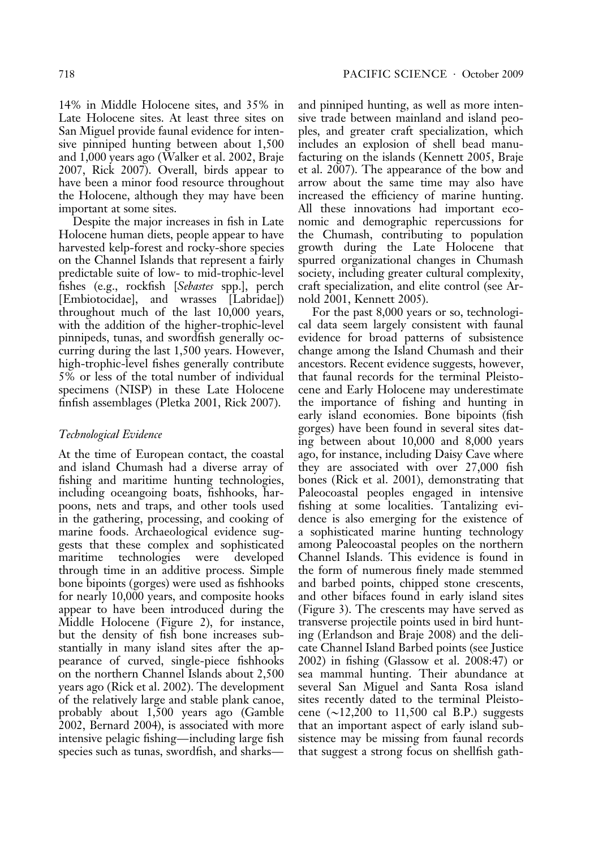14% in Middle Holocene sites, and 35% in Late Holocene sites. At least three sites on San Miguel provide faunal evidence for intensive pinniped hunting between about 1,500 and 1,000 years ago (Walker et al. 2002, Braje 2007, Rick 2007). Overall, birds appear to have been a minor food resource throughout the Holocene, although they may have been important at some sites.

Despite the major increases in fish in Late Holocene human diets, people appear to have harvested kelp-forest and rocky-shore species on the Channel Islands that represent a fairly predictable suite of low- to mid-trophic-level fishes (e.g., rockfish [Sebastes spp.], perch [Embiotocidae], and wrasses [Labridae]) throughout much of the last 10,000 years, with the addition of the higher-trophic-level pinnipeds, tunas, and swordfish generally occurring during the last 1,500 years. However, high-trophic-level fishes generally contribute 5% or less of the total number of individual specimens (NISP) in these Late Holocene finfish assemblages (Pletka 2001, Rick 2007).

### Technological Evidence

At the time of European contact, the coastal and island Chumash had a diverse array of fishing and maritime hunting technologies, including oceangoing boats, fishhooks, harpoons, nets and traps, and other tools used in the gathering, processing, and cooking of marine foods. Archaeological evidence suggests that these complex and sophisticated maritime technologies were developed through time in an additive process. Simple bone bipoints (gorges) were used as fishhooks for nearly 10,000 years, and composite hooks appear to have been introduced during the Middle Holocene (Figure 2), for instance, but the density of fish bone increases substantially in many island sites after the appearance of curved, single-piece fishhooks on the northern Channel Islands about 2,500 years ago (Rick et al. 2002). The development of the relatively large and stable plank canoe, probably about 1,500 years ago (Gamble 2002, Bernard 2004), is associated with more intensive pelagic fishing—including large fish species such as tunas, swordfish, and sharksand pinniped hunting, as well as more intensive trade between mainland and island peoples, and greater craft specialization, which includes an explosion of shell bead manufacturing on the islands (Kennett 2005, Braje et al. 2007). The appearance of the bow and arrow about the same time may also have increased the efficiency of marine hunting. All these innovations had important economic and demographic repercussions for the Chumash, contributing to population growth during the Late Holocene that spurred organizational changes in Chumash society, including greater cultural complexity, craft specialization, and elite control (see Arnold 2001, Kennett 2005).

For the past 8,000 years or so, technological data seem largely consistent with faunal evidence for broad patterns of subsistence change among the Island Chumash and their ancestors. Recent evidence suggests, however, that faunal records for the terminal Pleistocene and Early Holocene may underestimate the importance of fishing and hunting in early island economies. Bone bipoints (fish gorges) have been found in several sites dating between about 10,000 and 8,000 years ago, for instance, including Daisy Cave where they are associated with over 27,000 fish bones (Rick et al. 2001), demonstrating that Paleocoastal peoples engaged in intensive fishing at some localities. Tantalizing evidence is also emerging for the existence of a sophisticated marine hunting technology among Paleocoastal peoples on the northern Channel Islands. This evidence is found in the form of numerous finely made stemmed and barbed points, chipped stone crescents, and other bifaces found in early island sites (Figure 3). The crescents may have served as transverse projectile points used in bird hunting (Erlandson and Braje 2008) and the delicate Channel Island Barbed points (see Justice 2002) in fishing (Glassow et al. 2008:47) or sea mammal hunting. Their abundance at several San Miguel and Santa Rosa island sites recently dated to the terminal Pleistocene  $(\sim 12,200$  to 11,500 cal B.P.) suggests that an important aspect of early island subsistence may be missing from faunal records that suggest a strong focus on shellfish gath-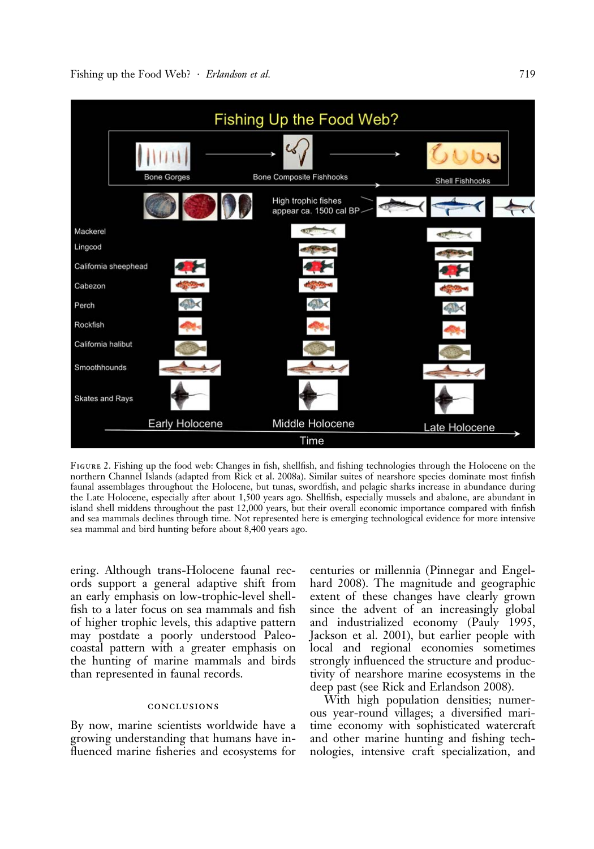

Figure 2. Fishing up the food web: Changes in fish, shellfish, and fishing technologies through the Holocene on the northern Channel Islands (adapted from Rick et al. 2008a). Similar suites of nearshore species dominate most finfish faunal assemblages throughout the Holocene, but tunas, swordfish, and pelagic sharks increase in abundance during the Late Holocene, especially after about 1,500 years ago. Shellfish, especially mussels and abalone, are abundant in island shell middens throughout the past 12,000 years, but their overall economic importance compared with finfish and sea mammals declines through time. Not represented here is emerging technological evidence for more intensive sea mammal and bird hunting before about 8,400 years ago.

ering. Although trans-Holocene faunal records support a general adaptive shift from an early emphasis on low-trophic-level shellfish to a later focus on sea mammals and fish of higher trophic levels, this adaptive pattern may postdate a poorly understood Paleocoastal pattern with a greater emphasis on the hunting of marine mammals and birds than represented in faunal records.

#### conclusions

By now, marine scientists worldwide have a growing understanding that humans have influenced marine fisheries and ecosystems for centuries or millennia (Pinnegar and Engelhard 2008). The magnitude and geographic extent of these changes have clearly grown since the advent of an increasingly global and industrialized economy (Pauly 1995, Jackson et al. 2001), but earlier people with local and regional economies sometimes strongly influenced the structure and productivity of nearshore marine ecosystems in the deep past (see Rick and Erlandson 2008).

With high population densities; numerous year-round villages; a diversified maritime economy with sophisticated watercraft and other marine hunting and fishing technologies, intensive craft specialization, and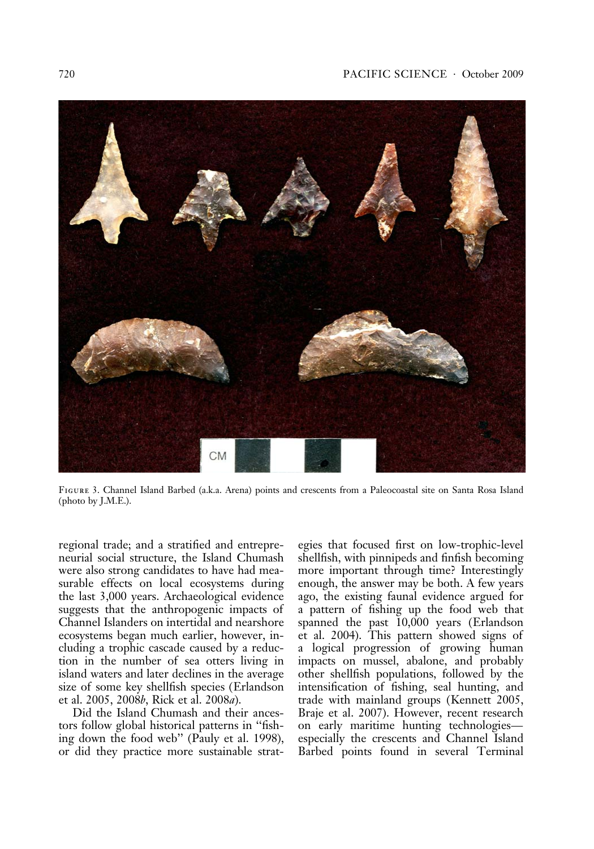

Figure 3. Channel Island Barbed (a.k.a. Arena) points and crescents from a Paleocoastal site on Santa Rosa Island (photo by J.M.E.).

regional trade; and a stratified and entrepreneurial social structure, the Island Chumash were also strong candidates to have had measurable effects on local ecosystems during the last 3,000 years. Archaeological evidence suggests that the anthropogenic impacts of Channel Islanders on intertidal and nearshore ecosystems began much earlier, however, including a trophic cascade caused by a reduction in the number of sea otters living in island waters and later declines in the average size of some key shellfish species (Erlandson et al. 2005, 2008b, Rick et al. 2008a).

Did the Island Chumash and their ancestors follow global historical patterns in ''fishing down the food web'' (Pauly et al. 1998), or did they practice more sustainable strategies that focused first on low-trophic-level shellfish, with pinnipeds and finfish becoming more important through time? Interestingly enough, the answer may be both. A few years ago, the existing faunal evidence argued for a pattern of fishing up the food web that spanned the past 10,000 years (Erlandson et al. 2004). This pattern showed signs of a logical progression of growing human impacts on mussel, abalone, and probably other shellfish populations, followed by the intensification of fishing, seal hunting, and trade with mainland groups (Kennett 2005, Braje et al. 2007). However, recent research on early maritime hunting technologies especially the crescents and Channel Island Barbed points found in several Terminal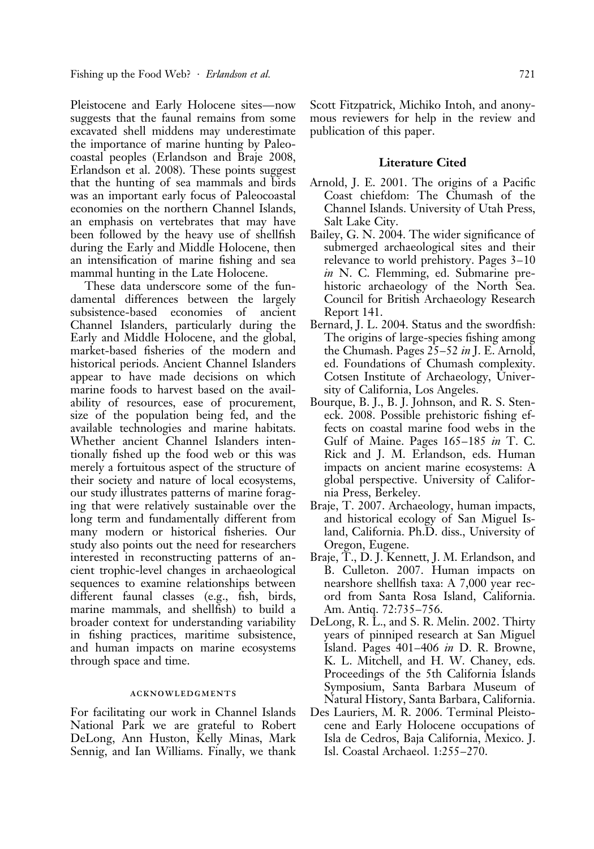Pleistocene and Early Holocene sites—now suggests that the faunal remains from some excavated shell middens may underestimate the importance of marine hunting by Paleocoastal peoples (Erlandson and Braje 2008, Erlandson et al. 2008). These points suggest that the hunting of sea mammals and birds was an important early focus of Paleocoastal economies on the northern Channel Islands, an emphasis on vertebrates that may have been followed by the heavy use of shellfish during the Early and Middle Holocene, then an intensification of marine fishing and sea mammal hunting in the Late Holocene.

These data underscore some of the fundamental differences between the largely subsistence-based economies of ancient Channel Islanders, particularly during the Early and Middle Holocene, and the global, market-based fisheries of the modern and historical periods. Ancient Channel Islanders appear to have made decisions on which marine foods to harvest based on the availability of resources, ease of procurement, size of the population being fed, and the available technologies and marine habitats. Whether ancient Channel Islanders intentionally fished up the food web or this was merely a fortuitous aspect of the structure of their society and nature of local ecosystems, our study illustrates patterns of marine foraging that were relatively sustainable over the long term and fundamentally different from many modern or historical fisheries. Our study also points out the need for researchers interested in reconstructing patterns of ancient trophic-level changes in archaeological sequences to examine relationships between different faunal classes (e.g., fish, birds, marine mammals, and shellfish) to build a broader context for understanding variability in fishing practices, maritime subsistence, and human impacts on marine ecosystems through space and time.

#### acknowledgments

For facilitating our work in Channel Islands National Park we are grateful to Robert DeLong, Ann Huston, Kelly Minas, Mark Sennig, and Ian Williams. Finally, we thank

Scott Fitzpatrick, Michiko Intoh, and anonymous reviewers for help in the review and publication of this paper.

#### Literature Cited

- Arnold, J. E. 2001. The origins of a Pacific Coast chiefdom: The Chumash of the Channel Islands. University of Utah Press, Salt Lake City.
- Bailey, G. N. 2004. The wider significance of submerged archaeological sites and their relevance to world prehistory. Pages 3–10 in N. C. Flemming, ed. Submarine prehistoric archaeology of the North Sea. Council for British Archaeology Research Report 141.
- Bernard, J. L. 2004. Status and the swordfish: The origins of large-species fishing among the Chumash. Pages 25–52 in J. E. Arnold, ed. Foundations of Chumash complexity. Cotsen Institute of Archaeology, University of California, Los Angeles.
- Bourque, B. J., B. J. Johnson, and R. S. Steneck. 2008. Possible prehistoric fishing effects on coastal marine food webs in the Gulf of Maine. Pages 165–185 in T. C. Rick and J. M. Erlandson, eds. Human impacts on ancient marine ecosystems: A global perspective. University of California Press, Berkeley.
- Braje, T. 2007. Archaeology, human impacts, and historical ecology of San Miguel Island, California. Ph.D. diss., University of Oregon, Eugene.
- Braje, T., D. J. Kennett, J. M. Erlandson, and B. Culleton. 2007. Human impacts on nearshore shellfish taxa: A 7,000 year record from Santa Rosa Island, California. Am. Antiq. 72:735–756.
- DeLong, R. L., and S. R. Melin. 2002. Thirty years of pinniped research at San Miguel Island. Pages 401–406 in D. R. Browne, K. L. Mitchell, and H. W. Chaney, eds. Proceedings of the 5th California Islands Symposium, Santa Barbara Museum of Natural History, Santa Barbara, California.
- Des Lauriers, M. R. 2006. Terminal Pleistocene and Early Holocene occupations of Isla de Cedros, Baja California, Mexico. J. Isl. Coastal Archaeol. 1:255–270.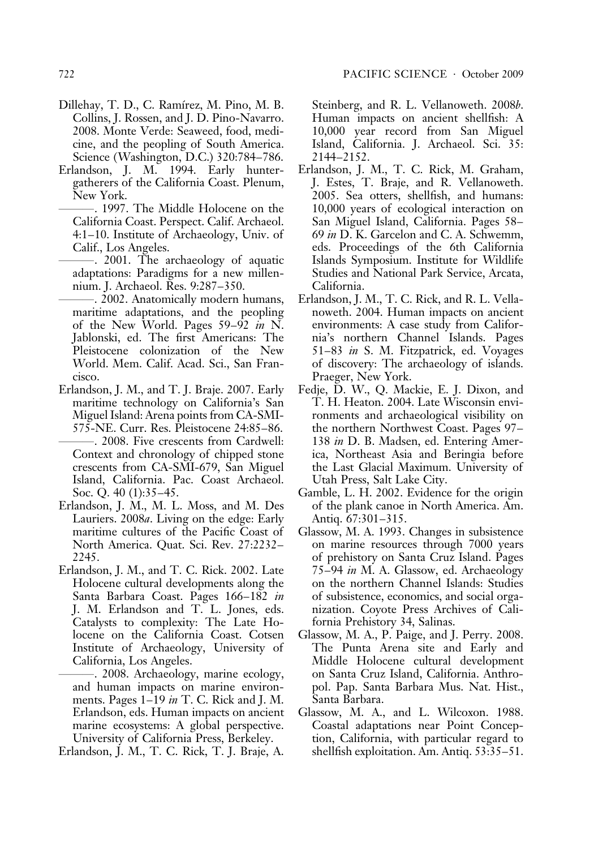- Dillehay, T. D., C. Ramírez, M. Pino, M. B. Collins, J. Rossen, and J. D. Pino-Navarro. 2008. Monte Verde: Seaweed, food, medicine, and the peopling of South America. Science (Washington, D.C.) 320:784–786.
- Erlandson, J. M. 1994. Early huntergatherers of the California Coast. Plenum, New York.
	- ———. 1997. The Middle Holocene on the California Coast. Perspect. Calif. Archaeol. 4:1–10. Institute of Archaeology, Univ. of Calif., Los Angeles.
	- ———. 2001. The archaeology of aquatic adaptations: Paradigms for a new millennium. J. Archaeol. Res. 9:287–350.
	- ———. 2002. Anatomically modern humans, maritime adaptations, and the peopling of the New World. Pages 59–92 in N. Jablonski, ed. The first Americans: The Pleistocene colonization of the New World. Mem. Calif. Acad. Sci., San Francisco.
- Erlandson, J. M., and T. J. Braje. 2007. Early maritime technology on California's San Miguel Island: Arena points from CA-SMI-575-NE. Curr. Res. Pleistocene 24:85–86. -. 2008. Five crescents from Cardwell: Context and chronology of chipped stone crescents from CA-SMI-679, San Miguel Island, California. Pac. Coast Archaeol. Soc. Q. 40 (1):35-45.
- Erlandson, J. M., M. L. Moss, and M. Des Lauriers. 2008a. Living on the edge: Early maritime cultures of the Pacific Coast of North America. Quat. Sci. Rev. 27:2232– 2245.
- Erlandson, J. M., and T. C. Rick. 2002. Late Holocene cultural developments along the Santa Barbara Coast. Pages 166–182 in J. M. Erlandson and T. L. Jones, eds. Catalysts to complexity: The Late Holocene on the California Coast. Cotsen Institute of Archaeology, University of California, Los Angeles.
- -. 2008. Archaeology, marine ecology, and human impacts on marine environments. Pages 1–19 in T. C. Rick and J. M. Erlandson, eds. Human impacts on ancient marine ecosystems: A global perspective. University of California Press, Berkeley.
- Erlandson, J. M., T. C. Rick, T. J. Braje, A.

Steinberg, and R. L. Vellanoweth. 2008b. Human impacts on ancient shellfish: A 10,000 year record from San Miguel Island, California. J. Archaeol. Sci. 35: 2144–2152.

- Erlandson, J. M., T. C. Rick, M. Graham, J. Estes, T. Braje, and R. Vellanoweth. 2005. Sea otters, shellfish, and humans: 10,000 years of ecological interaction on San Miguel Island, California. Pages 58– 69 in D. K. Garcelon and C. A. Schwemm, eds. Proceedings of the 6th California Islands Symposium. Institute for Wildlife Studies and National Park Service, Arcata, California.
- Erlandson, J. M., T. C. Rick, and R. L. Vellanoweth. 2004. Human impacts on ancient environments: A case study from California's northern Channel Islands. Pages 51–83 in S. M. Fitzpatrick, ed. Voyages of discovery: The archaeology of islands. Praeger, New York.
- Fedje, D. W., Q. Mackie, E. J. Dixon, and T. H. Heaton. 2004. Late Wisconsin environments and archaeological visibility on the northern Northwest Coast. Pages 97– 138 in D. B. Madsen, ed. Entering America, Northeast Asia and Beringia before the Last Glacial Maximum. University of Utah Press, Salt Lake City.
- Gamble, L. H. 2002. Evidence for the origin of the plank canoe in North America. Am. Antiq. 67:301–315.
- Glassow, M. A. 1993. Changes in subsistence on marine resources through 7000 years of prehistory on Santa Cruz Island. Pages 75–94 in M. A. Glassow, ed. Archaeology on the northern Channel Islands: Studies of subsistence, economics, and social organization. Coyote Press Archives of California Prehistory 34, Salinas.
- Glassow, M. A., P. Paige, and J. Perry. 2008. The Punta Arena site and Early and Middle Holocene cultural development on Santa Cruz Island, California. Anthropol. Pap. Santa Barbara Mus. Nat. Hist., Santa Barbara.
- Glassow, M. A., and L. Wilcoxon. 1988. Coastal adaptations near Point Conception, California, with particular regard to shellfish exploitation. Am. Antiq. 53:35–51.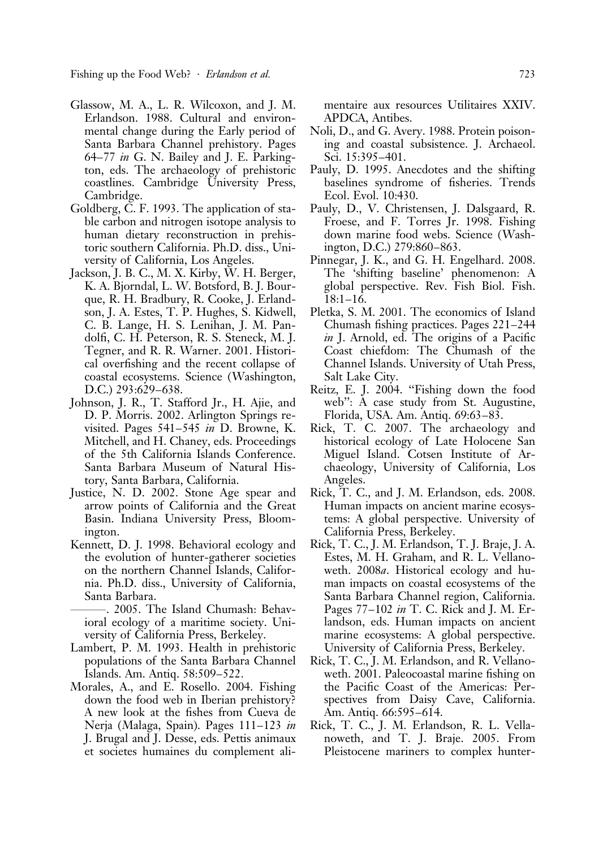Fishing up the Food Web? · *Erlandson et al.* 723

- Glassow, M. A., L. R. Wilcoxon, and J. M. Erlandson. 1988. Cultural and environmental change during the Early period of Santa Barbara Channel prehistory. Pages 64–77 in G. N. Bailey and J. E. Parkington, eds. The archaeology of prehistoric coastlines. Cambridge University Press, Cambridge.
- Goldberg, C. F. 1993. The application of stable carbon and nitrogen isotope analysis to human dietary reconstruction in prehistoric southern California. Ph.D. diss., University of California, Los Angeles.
- Jackson, J. B. C., M. X. Kirby, W. H. Berger, K. A. Bjorndal, L. W. Botsford, B. J. Bourque, R. H. Bradbury, R. Cooke, J. Erlandson, J. A. Estes, T. P. Hughes, S. Kidwell, C. B. Lange, H. S. Lenihan, J. M. Pandolfi, C. H. Peterson, R. S. Steneck, M. J. Tegner, and R. R. Warner. 2001. Historical overfishing and the recent collapse of coastal ecosystems. Science (Washington, D.C.) 293:629–638.
- Johnson, J. R., T. Stafford Jr., H. Ajie, and D. P. Morris. 2002. Arlington Springs revisited. Pages 541–545 in D. Browne, K. Mitchell, and H. Chaney, eds. Proceedings of the 5th California Islands Conference. Santa Barbara Museum of Natural History, Santa Barbara, California.
- Justice, N. D. 2002. Stone Age spear and arrow points of California and the Great Basin. Indiana University Press, Bloomington.
- Kennett, D. J. 1998. Behavioral ecology and the evolution of hunter-gatherer societies on the northern Channel Islands, California. Ph.D. diss., University of California, Santa Barbara.
- ———. 2005. The Island Chumash: Behavioral ecology of a maritime society. University of California Press, Berkeley.
- Lambert, P. M. 1993. Health in prehistoric populations of the Santa Barbara Channel Islands. Am. Antiq. 58:509–522.
- Morales, A., and E. Rosello. 2004. Fishing down the food web in Iberian prehistory? A new look at the fishes from Cueva de Nerja (Malaga, Spain). Pages 111–123 in J. Brugal and J. Desse, eds. Pettis animaux et societes humaines du complement ali-

mentaire aux resources Utilitaires XXIV. APDCA, Antibes.

- Noli, D., and G. Avery. 1988. Protein poisoning and coastal subsistence. J. Archaeol. Sci. 15:395–401.
- Pauly, D. 1995. Anecdotes and the shifting baselines syndrome of fisheries. Trends Ecol. Evol. 10:430.
- Pauly, D., V. Christensen, J. Dalsgaard, R. Froese, and F. Torres Jr. 1998. Fishing down marine food webs. Science (Washington, D.C.) 279:860–863.
- Pinnegar, J. K., and G. H. Engelhard. 2008. The 'shifting baseline' phenomenon: A global perspective. Rev. Fish Biol. Fish. 18:1–16.
- Pletka, S. M. 2001. The economics of Island Chumash fishing practices. Pages 221–244 in J. Arnold, ed. The origins of a Pacific Coast chiefdom: The Chumash of the Channel Islands. University of Utah Press, Salt Lake City.
- Reitz, E. J. 2004. ''Fishing down the food web'': A case study from St. Augustine, Florida, USA. Am. Antiq. 69:63–83.
- Rick, T. C. 2007. The archaeology and historical ecology of Late Holocene San Miguel Island. Cotsen Institute of Archaeology, University of California, Los Angeles.
- Rick, T. C., and J. M. Erlandson, eds. 2008. Human impacts on ancient marine ecosystems: A global perspective. University of California Press, Berkeley.
- Rick, T. C., J. M. Erlandson, T. J. Braje, J. A. Estes, M. H. Graham, and R. L. Vellanoweth. 2008a. Historical ecology and human impacts on coastal ecosystems of the Santa Barbara Channel region, California. Pages 77–102 in T. C. Rick and J. M. Erlandson, eds. Human impacts on ancient marine ecosystems: A global perspective. University of California Press, Berkeley.
- Rick, T. C., J. M. Erlandson, and R. Vellanoweth. 2001. Paleocoastal marine fishing on the Pacific Coast of the Americas: Perspectives from Daisy Cave, California. Am. Antiq. 66:595–614.
- Rick, T. C., J. M. Erlandson, R. L. Vellanoweth, and T. J. Braje. 2005. From Pleistocene mariners to complex hunter-